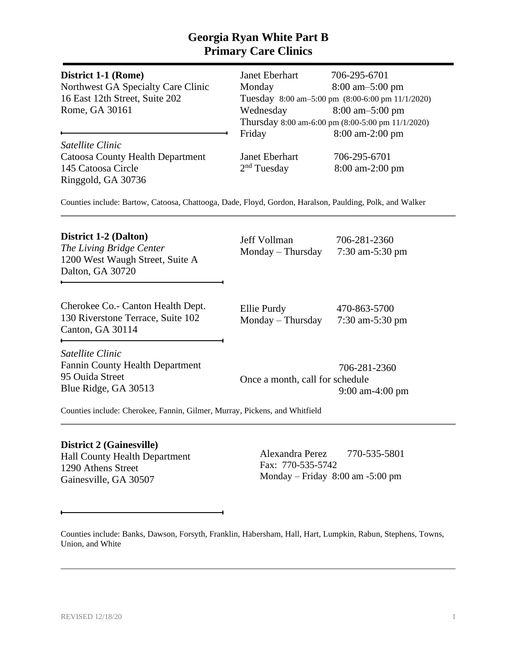| District 1-1 (Rome)<br>Northwest GA Specialty Care Clinic<br>16 East 12th Street, Suite 202<br>Rome, GA 30161   | Janet Eberhart<br>Monday<br>Wednesday               | 706-295-6701<br>$8:00 \text{ am} - 5:00 \text{ pm}$<br>Tuesday 8:00 am-5:00 pm (8:00-6:00 pm 11/1/2020)<br>$8:00$ am $-5:00$ pm<br>Thursday 8:00 am-6:00 pm (8:00-5:00 pm 11/1/2020) |
|-----------------------------------------------------------------------------------------------------------------|-----------------------------------------------------|--------------------------------------------------------------------------------------------------------------------------------------------------------------------------------------|
| Satellite Clinic<br><b>Catoosa County Health Department</b><br>145 Catoosa Circle<br>Ringgold, GA 30736         | Friday<br>Janet Eberhart<br>2 <sup>nd</sup> Tuesday | 8:00 am-2:00 pm<br>706-295-6701<br>8:00 am-2:00 pm                                                                                                                                   |
| Counties include: Bartow, Catoosa, Chattooga, Dade, Floyd, Gordon, Haralson, Paulding, Polk, and Walker         |                                                     |                                                                                                                                                                                      |
| <b>District 1-2 (Dalton)</b><br>The Living Bridge Center<br>1200 West Waugh Street, Suite A<br>Dalton, GA 30720 | Jeff Vollman<br>Monday – Thursday                   | 706-281-2360<br>7:30 am-5:30 pm                                                                                                                                                      |
| Cherokee Co. - Canton Health Dept.<br>130 Riverstone Terrace, Suite 102<br>Canton, GA 30114                     | Ellie Purdy<br>Monday – Thursday                    | 470-863-5700<br>7:30 am-5:30 pm                                                                                                                                                      |
| Satellite Clinic<br><b>Fannin County Health Department</b><br>95 Ouida Street<br>Blue Ridge, GA 30513           | Once a month, call for schedule                     | 706-281-2360<br>9:00 am-4:00 pm                                                                                                                                                      |
| Counties include: Cherokee, Fannin, Gilmer, Murray, Pickens, and Whitfield                                      |                                                     |                                                                                                                                                                                      |

**District 2 (Gainesville)** Hall County Health Department 1290 Athens Street Gainesville, GA 30507

Alexandra Perez 770-535-5801 Fax: 770-535-5742 Monday – Friday 8:00 am -5:00 pm

Counties include: Banks, Dawson, Forsyth, Franklin, Habersham, Hall, Hart, Lumpkin, Rabun, Stephens, Towns, Union, and White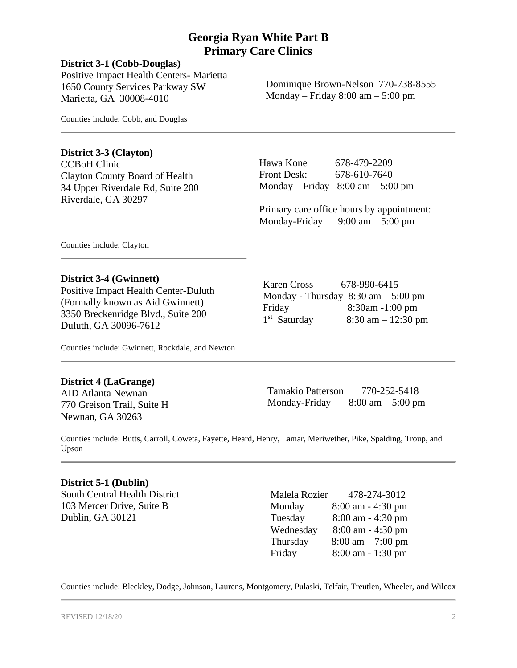## **District 3-1 (Cobb-Douglas)**

Positive Impact Health Centers- Marietta 1650 County Services Parkway SW Marietta, GA 30008-4010

Counties include: Cobb, and Douglas

## **District 3-3 (Clayton)**

CCBoH Clinic Clayton County Board of Health 34 Upper Riverdale Rd, Suite 200 Riverdale, GA 30297

Dominique Brown-Nelson 770-738-8555 Monday – Friday 8:00 am – 5:00 pm

Hawa Kone 678-479-2209 Front Desk: 678-610-7640 Monday – Friday  $8:00 \text{ am} - 5:00 \text{ pm}$ 

Primary care office hours by appointment: Monday-Friday  $9:00 \text{ am} - 5:00 \text{ pm}$ 

Counties include: Clayton

## **District 3-4 (Gwinnett)**

Positive Impact Health Center-Duluth (Formally known as Aid Gwinnett) 3350 Breckenridge Blvd., Suite 200 Duluth, GA 30096-7612

Counties include: Gwinnett, Rockdale, and Newton

## **District 4 (LaGrange)**

AID Atlanta Newnan 770 Greison Trail, Suite H Newnan, GA 30263

Karen Cross 678-990-6415 Monday - Thursday  $8:30 \text{ am} - 5:00 \text{ pm}$ Friday 8:30am -1:00 pm 1 st  $8:30$  am  $- 12:30$  pm

Tamakio Patterson 770-252-5418 Monday-Friday 8:00 am – 5:00 pm

Counties include: Butts, Carroll, Coweta, Fayette, Heard, Henry, Lamar, Meriwether, Pike, Spalding, Troup, and Upson

### **District 5-1 (Dublin)**

South Central Health District 103 Mercer Drive, Suite B Dublin, GA 30121

Malela Rozier 478-274-3012 Monday 8:00 am - 4:30 pm Tuesday 8:00 am - 4:30 pm Wednesday 8:00 am - 4:30 pm Thursday  $8:00 \text{ am} - 7:00 \text{ pm}$ Friday 8:00 am - 1:30 pm

Counties include: Bleckley, Dodge, Johnson, Laurens, Montgomery, Pulaski, Telfair, Treutlen, Wheeler, and Wilcox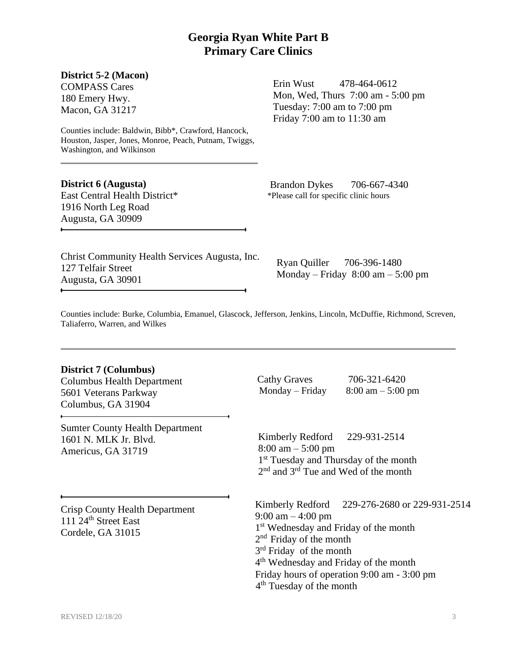**District 5-2 (Macon)**

COMPASS Cares 180 Emery Hwy. Macon, GA 31217

Counties include: Baldwin, Bibb\*, Crawford, Hancock, Houston, Jasper, Jones, Monroe, Peach, Putnam, Twiggs, Washington, and Wilkinson

**District 6 (Augusta)** East Central Health District\* 1916 North Leg Road

Augusta, GA 30909

Erin Wust 478-464-0612 Mon, Wed, Thurs 7:00 am - 5:00 pm Tuesday: 7:00 am to 7:00 pm Friday 7:00 am to 11:30 am

Brandon Dykes 706-667-4340 \*Please call for specific clinic hours

Christ Community Health Services Augusta, Inc. 127 Telfair Street Augusta, GA 30901

Ryan Quiller 706-396-1480 Monday – Friday  $8:00 \text{ am} - 5:00 \text{ pm}$ 

Counties include: Burke, Columbia, Emanuel, Glascock, Jefferson, Jenkins, Lincoln, McDuffie, Richmond, Screven, Taliaferro, Warren, and Wilkes

### **District 7 (Columbus)**

Columbus Health Department 5601 Veterans Parkway Columbus, GA 31904

Sumter County Health Department 1601 N. MLK Jr. Blvd. Americus, GA 31719

Crisp County Health Department 111 24<sup>th</sup> Street East Cordele, GA 31015

Cathy Graves 706-321-6420 Monday – Friday  $8:00 \text{ am} - 5:00 \text{ pm}$ 

 Kimberly Redford 229-931-2514 8:00 am – 5:00 pm 1<sup>st</sup> Tuesday and Thursday of the month 2<sup>nd</sup> and 3<sup>rd</sup> Tue and Wed of the month

 4 th Tuesday of the month Kimberly Redford 229-276-2680 or 229-931-2514 9:00 am – 4:00 pm 1 st Wednesday and Friday of the month 2<sup>nd</sup> Friday of the month 3<sup>rd</sup> Friday of the month 4<sup>th</sup> Wednesday and Friday of the month Friday hours of operation 9:00 am - 3:00 pm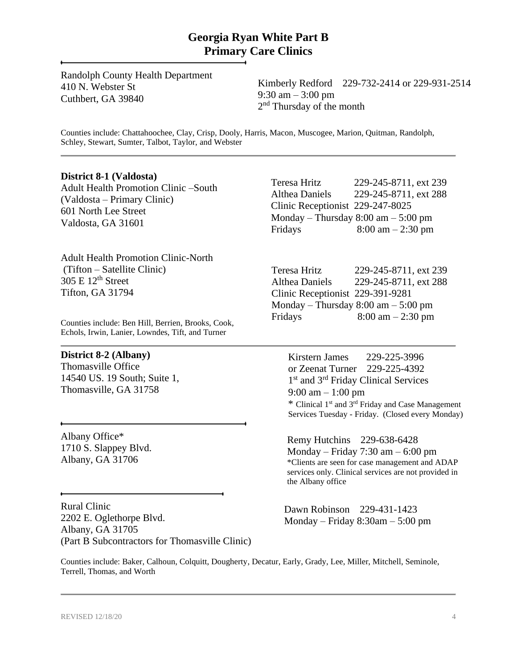Randolph County Health Department 410 N. Webster St Cuthbert, GA 39840

Kimberly Redford 229-732-2414 or 229-931-2514 9:30 am – 3:00 pm 2<sup>nd</sup> Thursday of the month

Counties include: Chattahoochee, Clay, Crisp, Dooly, Harris, Macon, Muscogee, Marion, Quitman, Randolph, Schley, Stewart, Sumter, Talbot, Taylor, and Webster

### **District 8-1 (Valdosta)**

Adult Health Promotion Clinic –South (Valdosta – Primary Clinic) 601 North Lee Street Valdosta, GA 31601

Adult Health Promotion Clinic-North (Tifton – Satellite Clinic) 305 E 12th Street Tifton, GA 31794

Counties include: Ben Hill, Berrien, Brooks, Cook, Echols, Irwin, Lanier, Lowndes, Tift, and Turner

### **District 8-2 (Albany)**

Thomasville Office 14540 US. 19 South; Suite 1, Thomasville, GA 31758

Albany Office\* 1710 S. Slappey Blvd. Albany, GA 31706

Rural Clinic 2202 E. Oglethorpe Blvd. Albany, GA 31705 (Part B Subcontractors for Thomasville Clinic)

Teresa Hritz 229-245-8711, ext 239 Althea Daniels 229-245-8711, ext 288 Clinic Receptionist 229-247-8025 Monday – Thursday 8:00 am – 5:00 pm Fridays 8:00 am  $-2:30 \text{ pm}$ 

Teresa Hritz 229-245-8711, ext 239 Althea Daniels 229-245-8711, ext 288 Clinic Receptionist 229-391-9281 Monday – Thursday 8:00 am – 5:00 pm Fridays 8:00 am  $- 2:30 \text{ pm}$ 

Kirstern James 229-225-3996 or Zeenat Turner 229-225-4392 1<sup>st</sup> and 3<sup>rd</sup> Friday Clinical Services 9:00 am – 1:00 pm \* Clinical 1 st and 3rd Friday and Case Management Services Tuesday - Friday. (Closed every Monday)

Remy Hutchins 229-638-6428 Monday – Friday  $7:30 \text{ am} - 6:00 \text{ pm}$ \*Clients are seen for case management and ADAP services only. Clinical services are not provided in the Albany office

Dawn Robinson 229-431-1423 Monday – Friday 8:30am – 5:00 pm

Counties include: Baker, Calhoun, Colquitt, Dougherty, Decatur, Early, Grady, Lee, Miller, Mitchell, Seminole, Terrell, Thomas, and Worth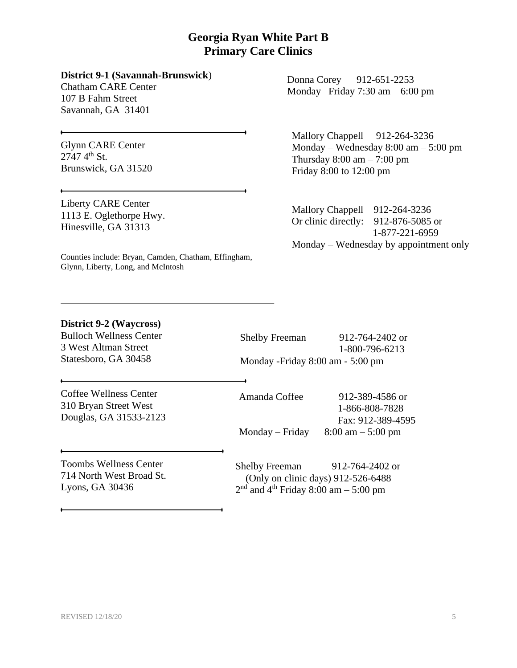### **District 9-1 (Savannah-Brunswick**)

Chatham CARE Center 107 B Fahm Street Savannah, GA 31401

Glynn CARE Center  $27474^{\text{th}}$  St. Brunswick, GA 31520

Liberty CARE Center 1113 E. Oglethorpe Hwy. Hinesville, GA 31313

Glynn, Liberty, Long, and McIntosh

Donna Corey 912-651-2253 Monday –Friday 7:30 am – 6:00 pm

Mallory Chappell 912-264-3236 Monday – Wednesday 8:00 am – 5:00 pm Thursday  $8:00 \text{ am} - 7:00 \text{ pm}$ Friday 8:00 to 12:00 pm

Mallory Chappell 912-264-3236 Or clinic directly: 912-876-5085 or 1-877-221-6959 Monday – Wednesday by appointment only

Counties include: Bryan, Camden, Chatham, Effingham,

## **District 9-2 (Waycross)**

Bulloch Wellness Center 3 West Altman Street Statesboro, GA 30458

Shelby Freeman 912-764-2402 or 1-800-796-6213 Monday -Friday 8:00 am - 5:00 pm

Coffee Wellness Center 310 Bryan Street West Douglas, GA 31533-2123

Amanda Coffee 912-389-4586 or

 1-866-808-7828 Fax: 912-389-4595 Monday – Friday  $8:00 \text{ am} - 5:00 \text{ pm}$ 

Toombs Wellness Center 714 North West Broad St. Lyons, GA 30436

Shelby Freeman 912-764-2402 or (Only on clinic days) 912-526-6488  $2<sup>nd</sup>$  and  $4<sup>th</sup>$  Friday 8:00 am – 5:00 pm